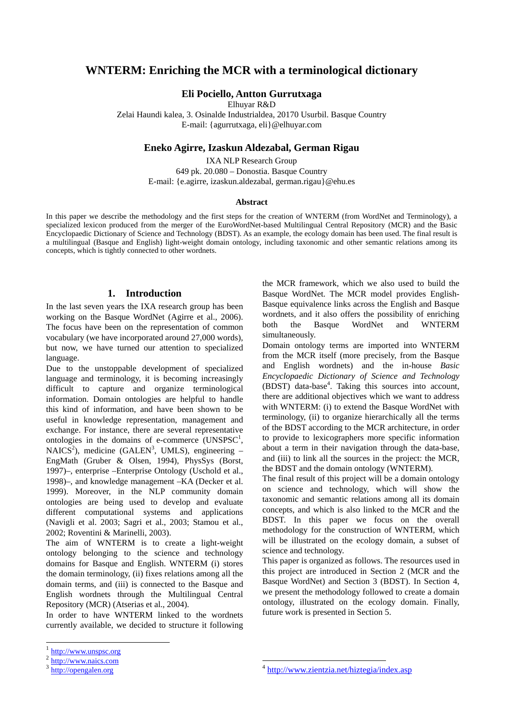# **WNTERM: Enriching the MCR with a terminological dictionary**

**Eli Pociello, Antton Gurrutxaga** 

Elhuyar R&D

Zelai Haundi kalea, 3. Osinalde Industrialdea, 20170 Usurbil. Basque Country E-mail: {agurrutxaga, eli}@elhuyar.com

### **Eneko Agirre, Izaskun Aldezabal, German Rigau**

IXA NLP Research Group 649 pk. 20.080 – Donostia. Basque Country E-mail: {e.agirre, izaskun.aldezabal, german.rigau}@ehu.es

#### **Abstract**

In this paper we describe the methodology and the first steps for the creation of WNTERM (from WordNet and Terminology), a specialized lexicon produced from the merger of the EuroWordNet-based Multilingual Central Repository (MCR) and the Basic Encyclopaedic Dictionary of Science and Technology (BDST). As an example, the ecology domain has been used. The final result is a multilingual (Basque and English) light-weight domain ontology, including taxonomic and other semantic relations among its concepts, which is tightly connected to other wordnets.

#### **1. Introduction**

In the last seven years the IXA research group has been working on the Basque WordNet (Agirre et al., 2006). The focus have been on the representation of common vocabulary (we have incorporated around 27,000 words), but now, we have turned our attention to specialized language.

Due to the unstoppable development of specialized language and terminology, it is becoming increasingly difficult to capture and organize terminological information. Domain ontologies are helpful to handle this kind of information, and have been shown to be useful in knowledge representation, management and exchange. For instance, there are several representative ontologies in the domains of e-commerce  $(UNSPSC<sup>1</sup>,$  $NAICS<sup>2</sup>$ ), medicine (GALEN<sup>3</sup>, UMLS), engineering  $-$ EngMath (Gruber & Olsen, 1994), PhysSys (Borst, 1997)–, enterprise –Enterprise Ontology (Uschold et al., 1998)–, and knowledge management –KA (Decker et al. 1999). Moreover, in the NLP community domain ontologies are being used to develop and evaluate different computational systems and applications (Navigli et al. 2003; Sagri et al., 2003; Stamou et al., 2002; Roventini & Marinelli, 2003).

The aim of WNTERM is to create a light-weight ontology belonging to the science and technology domains for Basque and English. WNTERM (i) stores the domain terminology, (ii) fixes relations among all the domain terms, and (iii) is connected to the Basque and English wordnets through the Multilingual Central Repository (MCR) (Atserias et al., 2004).

In order to have WNTERM linked to the wordnets currently available, we decided to structure it following

l

the MCR framework, which we also used to build the Basque WordNet. The MCR model provides English-Basque equivalence links across the English and Basque wordnets, and it also offers the possibility of enriching both the Basque WordNet and WNTERM simultaneously.

Domain ontology terms are imported into WNTERM from the MCR itself (more precisely, from the Basque and English wordnets) and the in-house *Basic Encyclopaedic Dictionary of Science and Technology* (BDST) data-base<sup>4</sup>. Taking this sources into account, there are additional objectives which we want to address with WNTERM: (i) to extend the Basque WordNet with terminology, (ii) to organize hierarchically all the terms of the BDST according to the MCR architecture, in order to provide to lexicographers more specific information about a term in their navigation through the data-base, and (iii) to link all the sources in the project: the MCR, the BDST and the domain ontology (WNTERM).

The final result of this project will be a domain ontology on science and technology, which will show the taxonomic and semantic relations among all its domain concepts, and which is also linked to the MCR and the BDST. In this paper we focus on the overall methodology for the construction of WNTERM, which will be illustrated on the ecology domain, a subset of science and technology.

This paper is organized as follows. The resources used in this project are introduced in Section 2 (MCR and the Basque WordNet) and Section 3 (BDST). In Section 4, we present the methodology followed to create a domain ontology, illustrated on the ecology domain. Finally, future work is presented in Section 5.

-

 $\frac{1}{2}$  http://www.unspsc.org

http://www.naics.com

<sup>3</sup> http://opengalen.org

http://www.zientzia.net/hiztegia/index.asp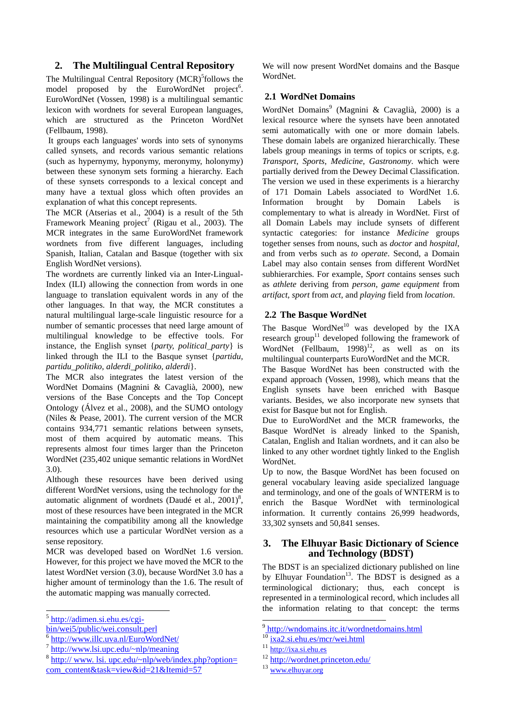# **2. The Multilingual Central Repository**

The Multilingual Central Repository (MCR)<sup>5</sup>follows the model proposed by the EuroWordNet project<sup>6</sup>. EuroWordNet (Vossen, 1998) is a multilingual semantic lexicon with wordnets for several European languages, which are structured as the Princeton WordNet (Fellbaum, 1998).

 It groups each languages' words into sets of synonyms called synsets, and records various semantic relations (such as hypernymy, hyponymy, meronymy, holonymy) between these synonym sets forming a hierarchy. Each of these synsets corresponds to a lexical concept and many have a textual gloss which often provides an explanation of what this concept represents.

The MCR (Atserias et al., 2004) is a result of the 5th Framework Meaning project<sup>7</sup> (Rigau et al., 2003). The MCR integrates in the same EuroWordNet framework wordnets from five different languages, including Spanish, Italian, Catalan and Basque (together with six English WordNet versions).

The wordnets are currently linked via an Inter-Lingual-Index (ILI) allowing the connection from words in one language to translation equivalent words in any of the other languages. In that way, the MCR constitutes a natural multilingual large-scale linguistic resource for a number of semantic processes that need large amount of multilingual knowledge to be effective tools. For instance, the English synset {*party, political\_party*} is linked through the ILI to the Basque synset {*partidu, partidu\_politiko, alderdi\_politiko, alderdi*}.

The MCR also integrates the latest version of the WordNet Domains (Magnini & Cavaglià, 2000), new versions of the Base Concepts and the Top Concept Ontology (Álvez et al., 2008), and the SUMO ontology (Niles & Pease, 2001). The current version of the MCR contains 934,771 semantic relations between synsets, most of them acquired by automatic means. This represents almost four times larger than the Princeton WordNet (235,402 unique semantic relations in WordNet 3.0).

Although these resources have been derived using different WordNet versions, using the technology for the automatic alignment of wordnets (Daudé et al.,  $2001$ )<sup>8</sup>, most of these resources have been integrated in the MCR maintaining the compatibility among all the knowledge resources which use a particular WordNet version as a sense repository.

MCR was developed based on WordNet 1.6 version. However, for this project we have moved the MCR to the latest WordNet version (3.0), because WordNet 3.0 has a higher amount of terminology than the 1.6. The result of the automatic mapping was manually corrected.

We will now present WordNet domains and the Basque WordNet.

## **2.1 WordNet Domains**

WordNet Domains<sup>9</sup> (Magnini & Cavaglià, 2000) is a lexical resource where the synsets have been annotated semi automatically with one or more domain labels. These domain labels are organized hierarchically. These labels group meanings in terms of topics or scripts, e.g. *Transport*, *Sports*, *Medicine*, *Gastronomy*. which were partially derived from the Dewey Decimal Classification. The version we used in these experiments is a hierarchy of 171 Domain Labels associated to WordNet 1.6. Information brought by Domain Labels is complementary to what is already in WordNet. First of all Domain Labels may include synsets of different syntactic categories: for instance *Medicine* groups together senses from nouns, such as *doctor* and *hospital*, and from verbs such as *to operate*. Second, a Domain Label may also contain senses from different WordNet subhierarchies. For example, *Sport* contains senses such as *athlete* deriving from *person*, *game equipment* from *artifact*, *sport* from *act*, and *playing* field from *location*.

## **2.2 The Basque WordNet**

The Basque WordNet $10$  was developed by the IXA research group<sup>11</sup> developed following the framework of WordNet (Fellbaum,  $1998$ )<sup>12</sup>, as well as on its multilingual counterparts EuroWordNet and the MCR.

The Basque WordNet has been constructed with the expand approach (Vossen, 1998), which means that the English synsets have been enriched with Basque variants. Besides, we also incorporate new synsets that exist for Basque but not for English.

Due to EuroWordNet and the MCR frameworks, the Basque WordNet is already linked to the Spanish, Catalan, English and Italian wordnets, and it can also be linked to any other wordnet tightly linked to the English WordNet.

Up to now, the Basque WordNet has been focused on general vocabulary leaving aside specialized language and terminology, and one of the goals of WNTERM is to enrich the Basque WordNet with terminological information. It currently contains 26,999 headwords, 33,302 synsets and 50,841 senses.

# **3. The Elhuyar Basic Dictionary of Science and Technology (BDST)**

The BDST is an specialized dictionary published on line by Elhuyar Foundation<sup>13</sup>. The BDST is designed as a terminological dictionary; thus, each concept is represented in a terminological record, which includes all the information relating to that concept: the terms

<sup>&</sup>lt;sup>5</sup> http://adimen.si.ehu.es/cgi-

bin/wei5/public/wei.consult.perl<br>
<sup>6</sup> http://www.illc.uva.nl/EuroWordNet/<br>
<sup>7</sup> http://www.lsi.upc.edu/~nlp/meaning<br>
<sup>8</sup> http:// www. lsi. upc.edu/~nlp/web/index.php?option= com\_content&task=view&id=21&Itemid=57

<sup>9&</sup>lt;br>http://wndomains.itc.it/wordnetdomains.html

 $10$  ixa2.si.ehu.es/mcr/wei.html

<sup>11</sup> http://ixa.si.ehu.es

 $\frac{12 \text{ http://wordnet.princeton.edu/13}}{www.elhuyar.org}$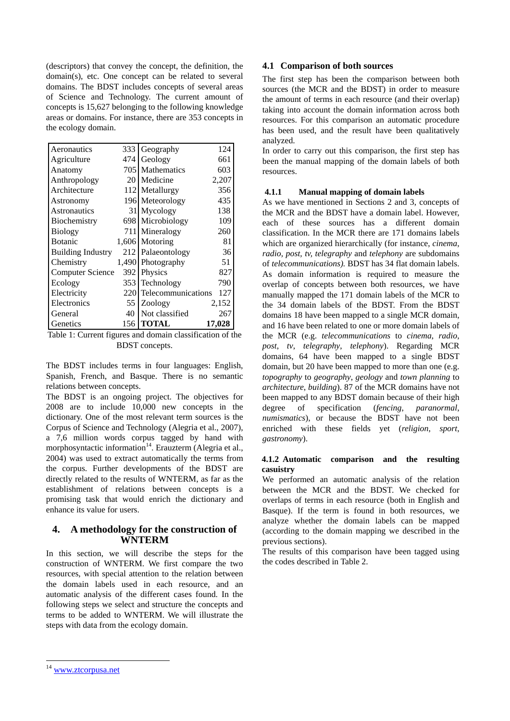(descriptors) that convey the concept, the definition, the domain(s), etc. One concept can be related to several domains. The BDST includes concepts of several areas of Science and Technology. The current amount of concepts is 15,627 belonging to the following knowledge areas or domains. For instance, there are 353 concepts in the ecology domain.

| Aeronautics              | 333   | Geography          | 124    |
|--------------------------|-------|--------------------|--------|
| Agriculture              | 474   | Geology            | 661    |
| Anatomy                  | 7051  | Mathematics        | 603    |
| Anthropology             | 20 I  | Medicine           | 2,207  |
| Architecture             |       | 112 Metallurgy     | 356    |
| Astronomy                |       | 196 Meteorology    | 435    |
| Astronautics             | 31    | Mycology           | 138    |
| Biochemistry             | 698   | Microbiology       | 109    |
| <b>Biology</b>           | 711   | Mineralogy         | 260    |
| <b>Botanic</b>           |       | 1,606 Motoring     | 81     |
| <b>Building Industry</b> | 212   | Palaeontology      | 36     |
| Chemistry                | 1.490 | Photography        | 51     |
| Computer Science         | 392   | Physics            | 827    |
| Ecology                  | 353   | Technology         | 790    |
| Electricity              | 220   | Telecommunications | 127    |
| Electronics              | 55    | Zoology            | 2,152  |
| General                  | 40    | Not classified     | 267    |
| Genetics                 | 156   | TOTAL              | 17,028 |

Table 1: Current figures and domain classification of the BDST concepts.

The BDST includes terms in four languages: English, Spanish, French, and Basque. There is no semantic relations between concepts.

The BDST is an ongoing project. The objectives for 2008 are to include 10,000 new concepts in the dictionary. One of the most relevant term sources is the Corpus of Science and Technology (Alegria et al., 2007), a 7,6 million words corpus tagged by hand with morphosyntactic information<sup>14</sup>. Erauzterm (Alegria et al., 2004) was used to extract automatically the terms from the corpus. Further developments of the BDST are directly related to the results of WNTERM, as far as the establishment of relations between concepts is a promising task that would enrich the dictionary and enhance its value for users.

# **4. A methodology for the construction of WNTERM**

In this section, we will describe the steps for the construction of WNTERM. We first compare the two resources, with special attention to the relation between the domain labels used in each resource, and an automatic analysis of the different cases found. In the following steps we select and structure the concepts and terms to be added to WNTERM. We will illustrate the steps with data from the ecology domain.

## **4.1 Comparison of both sources**

The first step has been the comparison between both sources (the MCR and the BDST) in order to measure the amount of terms in each resource (and their overlap) taking into account the domain information across both resources. For this comparison an automatic procedure has been used, and the result have been qualitatively analyzed.

In order to carry out this comparison, the first step has been the manual mapping of the domain labels of both resources.

### **4.1.1 Manual mapping of domain labels**

As we have mentioned in Sections 2 and 3, concepts of the MCR and the BDST have a domain label. However, each of these sources has a different domain classification. In the MCR there are 171 domains labels which are organized hierarchically (for instance, *cinema*, *radio, post, tv, telegraphy* and *telephony* are subdomains of *telecommunications).* BDST has 34 flat domain labels. As domain information is required to measure the overlap of concepts between both resources, we have manually mapped the 171 domain labels of the MCR to the 34 domain labels of the BDST. From the BDST domains 18 have been mapped to a single MCR domain, and 16 have been related to one or more domain labels of the MCR (e.g. *telecommunications* to *cinema*, *radio*, *post*, *tv*, *telegraphy*, *telephony*). Regarding MCR domains, 64 have been mapped to a single BDST domain, but 20 have been mapped to more than one (e.g. *topography* to *geography*, *geology* and *town planning* to *architecture*, *building*). 87 of the MCR domains have not been mapped to any BDST domain because of their high degree of specification (*fencing*, *paranormal*, *numismatics*), or because the BDST have not been enriched with these fields yet (*religion*, *sport*, *gastronomy*).

### **4.1.2 Automatic comparison and the resulting casuistry**

We performed an automatic analysis of the relation between the MCR and the BDST. We checked for overlaps of terms in each resource (both in English and Basque). If the term is found in both resources, we analyze whether the domain labels can be mapped (according to the domain mapping we described in the previous sections).

The results of this comparison have been tagged using the codes described in Table 2.

l

<sup>&</sup>lt;sup>14</sup> www.ztcorpusa.net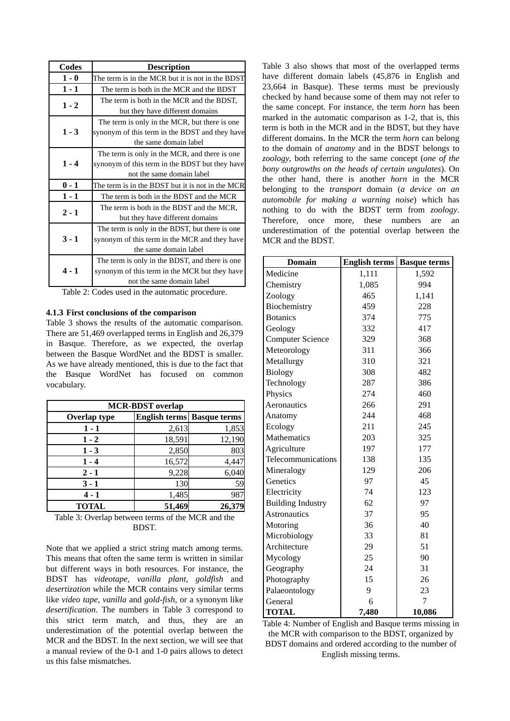| Codes   | <b>Description</b>                               |
|---------|--------------------------------------------------|
| $1 - 0$ | The term is in the MCR but it is not in the BDST |
| $1 - 1$ | The term is both in the MCR and the BDST         |
| $1 - 2$ | The term is both in the MCR and the BDST,        |
|         | but they have different domains                  |
|         | The term is only in the MCR, but there is one    |
| $1 - 3$ | synonym of this term in the BDST and they have   |
|         | the same domain label                            |
|         | The term is only in the MCR, and there is one    |
| $1 - 4$ | synonym of this term in the BDST but they have   |
|         | not the same domain label                        |
| $0 - 1$ | The term is in the BDST but it is not in the MCR |
| $1 - 1$ | The term is both in the BDST and the MCR         |
| $2 - 1$ | The term is both in the BDST and the MCR,        |
|         | but they have different domains                  |
|         | The term is only in the BDST, but there is one   |
| $3 - 1$ | synonym of this term in the MCR and they have    |
|         | the same domain label                            |
|         | The term is only in the BDST, and there is one   |
| $4 - 1$ | synonym of this term in the MCR but they have    |
|         | not the same domain label                        |

Table 2: Codes used in the automatic procedure.

## **4.1.3 First conclusions of the comparison**

Table 3 shows the results of the automatic comparison. There are 51,469 overlapped terms in English and 26,379 in Basque. Therefore, as we expected, the overlap between the Basque WordNet and the BDST is smaller. As we have already mentioned, this is due to the fact that the Basque WordNet has focused on common vocabulary.

| <b>MCR-BDST</b> overlap |        |                                   |  |
|-------------------------|--------|-----------------------------------|--|
| <b>Overlap type</b>     |        | <b>English terms</b> Basque terms |  |
| $1 - 1$                 | 2,613  | 1,853                             |  |
| $1 - 2$                 | 18,591 | 12,190                            |  |
| $1 - 3$                 | 2,850  | 803                               |  |
| $1 - 4$                 | 16,572 | 4,447                             |  |
| $2 - 1$                 | 9,228  | 6,040                             |  |
| $3 - 1$                 | 130    | 59                                |  |
| $4 - 1$                 | 1,485  | 987                               |  |
| <b>TOTAL</b>            | 51,469 | 26,379                            |  |

Table 3: Overlap between terms of the MCR and the **BDST.** 

Note that we applied a strict string match among terms. This means that often the same term is written in similar but different ways in both resources. For instance, the BDST has *videotape*, *vanilla plant*, *goldfish* and *desertization* while the MCR contains very similar terms like *video tape*, *vanilla* and *gold-fish*, or a synonym like *desertification*. The numbers in Table 3 correspond to this strict term match, and thus, they are an underestimation of the potential overlap between the MCR and the BDST. In the next section, we will see that a manual review of the 0-1 and 1-0 pairs allows to detect us this false mismatches.

Table 3 also shows that most of the overlapped terms have different domain labels (45,876 in English and 23,664 in Basque). These terms must be previously checked by hand because some of them may not refer to the same concept. For instance, the term *horn* has been marked in the automatic comparison as 1-2, that is, this term is both in the MCR and in the BDST, but they have different domains. In the MCR the term *horn* can belong to the domain of *anatomy* and in the BDST belongs to *zoology*, both referring to the same concept (*one of the bony outgrowths on the heads of certain ungulates*). On the other hand, there is another *horn* in the MCR belonging to the *transport* domain (*a device on an automobile for making a warning noise*) which has nothing to do with the BDST term from *zoology*. Therefore, once more, these numbers are an underestimation of the potential overlap between the MCR and the BDST.

| <b>Domain</b>            | <b>English terms</b> | <b>Basque terms</b> |
|--------------------------|----------------------|---------------------|
| Medicine                 | 1,111                | 1,592               |
| Chemistry                | 1,085                | 994                 |
| Zoology                  | 465                  | 1,141               |
| Biochemistry             | 459                  | 228                 |
| <b>Botanics</b>          | 374                  | 775                 |
| Geology                  | 332                  | 417                 |
| <b>Computer Science</b>  | 329                  | 368                 |
| Meteorology              | 311                  | 366                 |
| Metallurgy               | 310                  | 321                 |
| <b>Biology</b>           | 308                  | 482                 |
| Technology               | 287                  | 386                 |
| Physics                  | 274                  | 460                 |
| Aeronautics              | 266                  | 291                 |
| Anatomy                  | 244                  | 468                 |
| Ecology                  | 211                  | 245                 |
| Mathematics              | 203                  | 325                 |
| Agriculture              | 197                  | 177                 |
| Telecommunications       | 138                  | 135                 |
| Mineralogy               | 129                  | 206                 |
| Genetics                 | 97                   | 45                  |
| Electricity              | 74                   | 123                 |
| <b>Building Industry</b> | 62                   | 97                  |
| <b>Astronautics</b>      | 37                   | 95                  |
| Motoring                 | 36                   | 40                  |
| Microbiology             | 33                   | 81                  |
| Architecture             | 29                   | 51                  |
| Mycology                 | 25                   | 90                  |
| Geography                | 24                   | 31                  |
| Photography              | 15                   | 26                  |
| Palaeontology            | 9                    | 23                  |
| General                  | 6                    | 7                   |
| <b>TOTAL</b>             | 7,480                | 10,086              |

Table 4: Number of English and Basque terms missing in the MCR with comparison to the BDST, organized by BDST domains and ordered according to the number of English missing terms.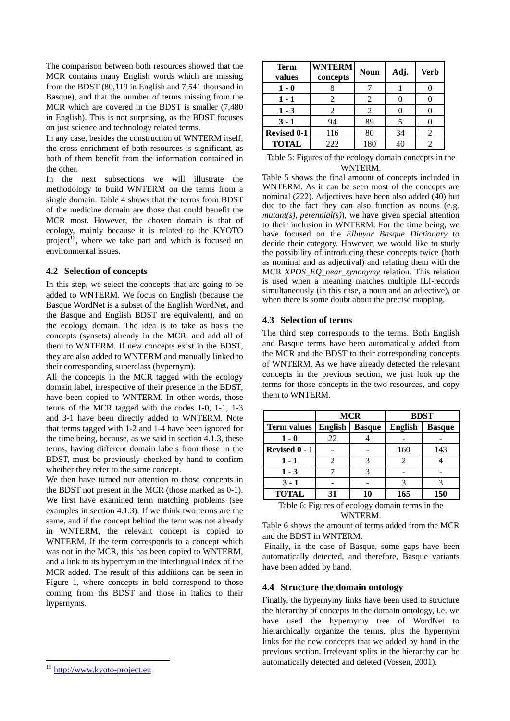The comparison between both resources showed that the MCR contains many English words which are missing from the BDST (80,119 in English and 7,541 thousand in Basque), and that the number of terms missing from the MCR which are covered in the BDST is smaller  $(7,480)$ in English). This is not surprising, as the BDST focuses on just science and technology related terms.

In any case, besides the construction of WNTERM itself, the cross-enrichment of both resources is significant, as both of them benefit from the information contained in the other.

In the next subsections we will illustrate the methodology to build WNTERM on the terms from a single domain. Table 4 shows that the terms from BDST of the medicine domain are those that could benefit the MCR most. However, the chosen domain is that of ecology, mainly because it is related to the KYOTO project<sup>15</sup>, where we take part and which is focused on environmental issues.

#### **4.2 Selection of concepts**

In this step, we select the concepts that are going to be added to WNTERM. We focus on English (because the Basque WordNet is a subset of the English WordNet, and the Basque and English BDST are equivalent), and on the ecology domain. The idea is to take as basis the concepts (synsets) already in the MCR, and add all of them to WNTERM. If new concepts exist in the BDST, they are also added to WNTERM and manually linked to their corresponding superclass (hypernym).

All the concepts in the MCR tagged with the ecology domain label, irrespective of their presence in the BDST, have been copied to WNTERM. In other words, those terms of the MCR tagged with the codes 1-0, 1-1, 1-3 and 3-1 have been directly added to WNTERM. Note that terms tagged with 1-2 and 1-4 have been ignored for the time being, because, as we said in section 4.1.3, these terms, having different domain labels from those in the BDST, must be previously checked by hand to confirm whether they refer to the same concept.

We then have turned our attention to those concepts in the BDST not present in the MCR (those marked as 0-1). We first have examined term matching problems (see examples in section 4.1.3). If we think two terms are the same, and if the concept behind the term was not already in WNTERM, the relevant concept is copied to WNTERM. If the term corresponds to a concept which was not in the MCR, this has been copied to WNTERM, and a link to its hypernym in the Interlingual Index of the MCR added. The result of this additions can be seen in Figure 1, where concepts in bold correspond to those coming from ths BDST and those in italics to their hypernyms.

| <b>Term</b><br>values | <b>WNTERM</b><br>concepts | <b>Noun</b>                 | Adj. | <b>Verb</b> |
|-----------------------|---------------------------|-----------------------------|------|-------------|
| $1 - 0$               |                           |                             |      |             |
| $1 - 1$               | 2                         | 2                           |      |             |
| $1 - 3$               | 2                         | $\mathcal{D}_{\mathcal{L}}$ |      |             |
| $3 - 1$               | 94                        | 89                          |      |             |
| <b>Revised 0-1</b>    | 116                       | 80                          | 34   | 2           |
| <b>TOTAL</b>          | 222                       | 180                         | 40   | 2           |

Table 5: Figures of the ecology domain concepts in the WNTERM.

Table 5 shows the final amount of concepts included in WNTERM. As it can be seen most of the concepts are nominal (222). Adjectives have been also added (40) but due to the fact they can also function as nouns (e.g. *mutant(s)*, *perennial(s)*), we have given special attention to their inclusion in WNTERM. For the time being, we have focused on the *Elhuyar Basque Dictionary* to decide their category. However, we would like to study the possibility of introducing these concepts twice (both as nominal and as adjectival) and relating them with the MCR *XPOS\_EQ\_near\_synonymy* relation. This relation is used when a meaning matches multiple ILI-records simultaneously (in this case, a noun and an adjective), or when there is some doubt about the precise mapping.

#### **4.3 Selection of terms**

The third step corresponds to the terms. Both English and Basque terms have been automatically added from the MCR and the BDST to their corresponding concepts of WNTERM. As we have already detected the relevant concepts in the previous section, we just look up the terms for those concepts in the two resources, and copy them to WNTERM.

|                              | <b>MCR</b> |               | <b>BDST</b>    |               |
|------------------------------|------------|---------------|----------------|---------------|
| <b>Term values   English</b> |            | <b>Basque</b> | <b>English</b> | <b>Basque</b> |
| $1 - 0$                      | 22         |               |                |               |
| Revised 0 - 1                |            |               | 160            | 143           |
| $1 - 1$                      |            |               |                |               |
| $1 - 3$                      |            |               |                |               |
| $3 - 1$                      |            |               |                |               |
| <b>TOTAL</b>                 | 31         | 10            | 165            | 150           |

Table 6: Figures of ecology domain terms in the WNTERM.

Table 6 shows the amount of terms added from the MCR and the BDST in WNTERM.

 Finally, in the case of Basque, some gaps have been automatically detected, and therefore, Basque variants have been added by hand.

#### **4.4 Structure the domain ontology**

Finally, the hypernymy links have been used to structure the hierarchy of concepts in the domain ontology, i.e. we have used the hypernymy tree of WordNet to hierarchically organize the terms, plus the hypernym links for the new concepts that we added by hand in the previous section. Irrelevant splits in the hierarchy can be automatically detected and deleted (Vossen, 2001).

l <sup>15</sup> http://www.kyoto-project.eu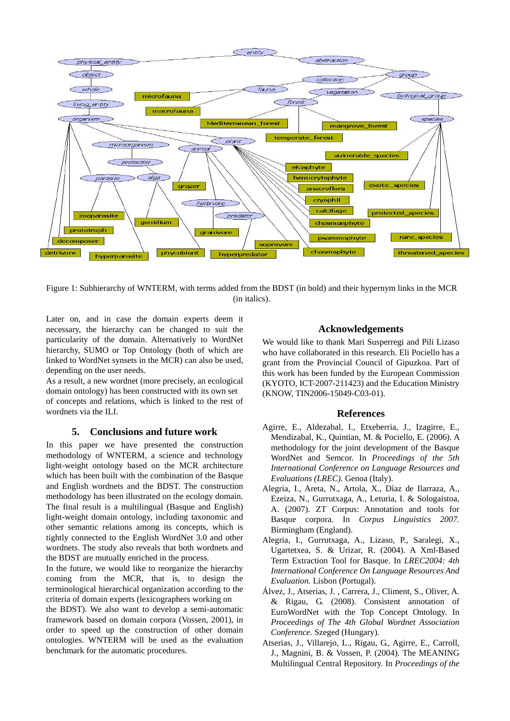

Figure 1: Subhierarchy of WNTERM, with terms added from the BDST (in bold) and their hypernym links in the MCR (in italics).

Later on, and in case the domain experts deem it necessary, the hierarchy can be changed to suit the particularity of the domain. Alternatively to WordNet hierarchy, SUMO or Top Ontology (both of which are linked to WordNet synsets in the MCR) can also be used, depending on the user needs.

As a result, a new wordnet (more precisely, an ecological domain ontology) has been constructed with its own set of concepts and relations, which is linked to the rest of wordnets via the ILI.

## **5. Conclusions and future work**

In this paper we have presented the construction methodology of WNTERM, a science and technology light-weight ontology based on the MCR architecture which has been built with the combination of the Basque and English wordnets and the BDST. The construction methodology has been illustrated on the ecology domain. The final result is a multilingual (Basque and English) light-weight domain ontology, including taxonomic and other semantic relations among its concepts, which is tightly connected to the English WordNet 3.0 and other wordnets. The study also reveals that both wordnets and the BDST are mutually enriched in the process.

In the future, we would like to reorganize the hierarchy coming from the MCR, that is, to design the terminological hierarchical organization according to the criteria of domain experts (lexicographers working on

the BDST). We also want to develop a semi-automatic framework based on domain corpora (Vossen, 2001), in order to speed up the construction of other domain ontologies. WNTERM will be used as the evaluation benchmark for the automatic procedures.

## **Acknowledgements**

We would like to thank Mari Susperregi and Pili Lizaso who have collaborated in this research. Eli Pociello has a grant from the Provincial Council of Gipuzkoa. Part of this work has been funded by the European Commission (KYOTO, ICT-2007-211423) and the Education Ministry (KNOW, TIN2006-15049-C03-01).

#### **References**

- Agirre, E., Aldezabal, I., Etxeberria, J., Izagirre, E., Mendizabal, K., Quintian, M. & Pociello, E. (2006). A methodology for the joint development of the Basque WordNet and Semcor. In *Proceedings of the 5th International Conference on Language Resources and Evaluations (LREC).* Genoa (Italy).
- Alegria, I., Areta, N., Artola, X., Díaz de Ilarraza, A., Ezeiza, N., Gurrutxaga, A., Leturia, I. & Sologaistoa, A. (2007). ZT Corpus: Annotation and tools for Basque corpora. In *Corpus Linguistics 2007.*  Birmingham (England).
- Alegria, I., Gurrutxaga, A., Lizaso, P., Saralegi, X., Ugartetxea, S. & Urizar, R. (2004). A Xml-Based Term Extraction Tool for Basque. In *LREC2004: 4th International Conference On Language Resources And Evaluation.* Lisbon (Portugal).
- Álvez, J., Atserias, J. , Carrera, J., Climent, S., Oliver, A. & Rigau, G. (2008). Consistent annotation of EuroWordNet with the Top Concept Ontology. In *Proceedings of The 4th Global Wordnet Association Conference*. Szeged (Hungary).
- Atserias, J., Villarejo, L., Rigau, G., Agirre, E., Carroll, J., Magnini, B. & Vossen, P. (2004). The MEANING Multilingual Central Repository. In *Proceedings of the*